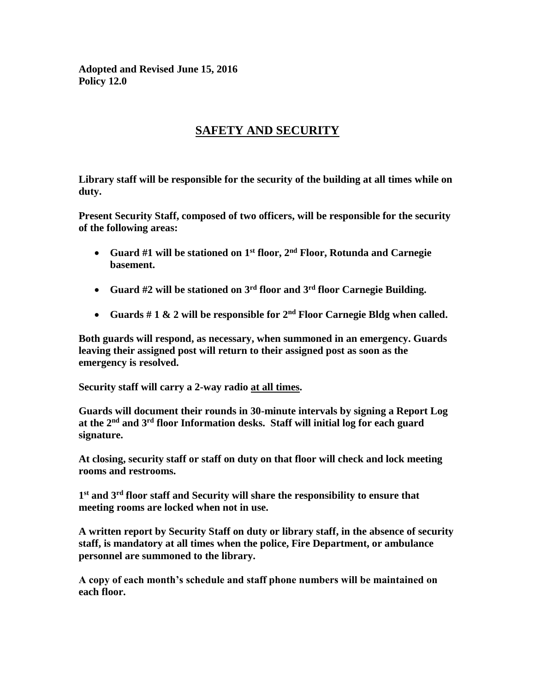**Adopted and Revised June 15, 2016 Policy 12.0**

## **SAFETY AND SECURITY**

**Library staff will be responsible for the security of the building at all times while on duty.**

**Present Security Staff, composed of two officers, will be responsible for the security of the following areas:**

- **Guard #1 will be stationed on 1st floor, 2nd Floor, Rotunda and Carnegie basement.**
- **Guard #2 will be stationed on 3rd floor and 3rd floor Carnegie Building.**
- **Guards # 1 & 2 will be responsible for 2nd Floor Carnegie Bldg when called.**

**Both guards will respond, as necessary, when summoned in an emergency. Guards leaving their assigned post will return to their assigned post as soon as the emergency is resolved.**

**Security staff will carry a 2-way radio at all times.**

**Guards will document their rounds in 30-minute intervals by signing a Report Log at the 2nd and 3rd floor Information desks. Staff will initial log for each guard signature.**

**At closing, security staff or staff on duty on that floor will check and lock meeting rooms and restrooms.**

**1 st and 3rd floor staff and Security will share the responsibility to ensure that meeting rooms are locked when not in use.**

**A written report by Security Staff on duty or library staff, in the absence of security staff, is mandatory at all times when the police, Fire Department, or ambulance personnel are summoned to the library.**

**A copy of each month's schedule and staff phone numbers will be maintained on each floor.**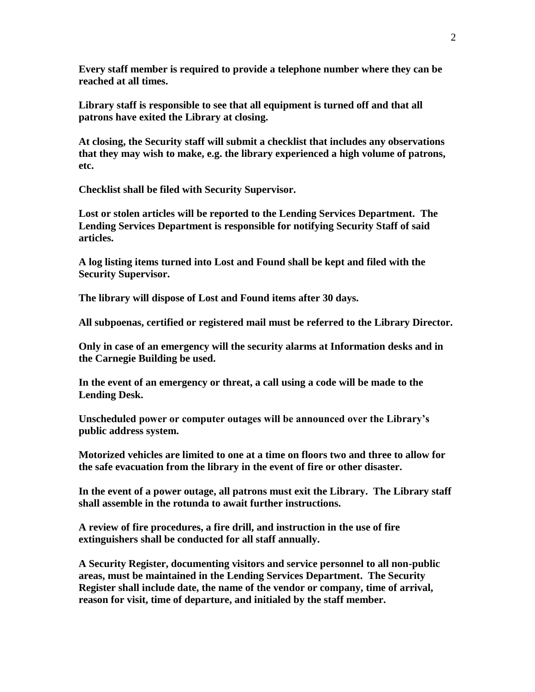**Every staff member is required to provide a telephone number where they can be reached at all times.**

**Library staff is responsible to see that all equipment is turned off and that all patrons have exited the Library at closing.**

**At closing, the Security staff will submit a checklist that includes any observations that they may wish to make, e.g. the library experienced a high volume of patrons, etc.** 

**Checklist shall be filed with Security Supervisor.**

**Lost or stolen articles will be reported to the Lending Services Department. The Lending Services Department is responsible for notifying Security Staff of said articles.**

**A log listing items turned into Lost and Found shall be kept and filed with the Security Supervisor.**

**The library will dispose of Lost and Found items after 30 days.**

**All subpoenas, certified or registered mail must be referred to the Library Director.**

**Only in case of an emergency will the security alarms at Information desks and in the Carnegie Building be used.**

**In the event of an emergency or threat, a call using a code will be made to the Lending Desk.**

**Unscheduled power or computer outages will be announced over the Library's public address system.**

**Motorized vehicles are limited to one at a time on floors two and three to allow for the safe evacuation from the library in the event of fire or other disaster.**

**In the event of a power outage, all patrons must exit the Library. The Library staff shall assemble in the rotunda to await further instructions.**

**A review of fire procedures, a fire drill, and instruction in the use of fire extinguishers shall be conducted for all staff annually.**

**A Security Register, documenting visitors and service personnel to all non-public areas, must be maintained in the Lending Services Department. The Security Register shall include date, the name of the vendor or company, time of arrival, reason for visit, time of departure, and initialed by the staff member.**